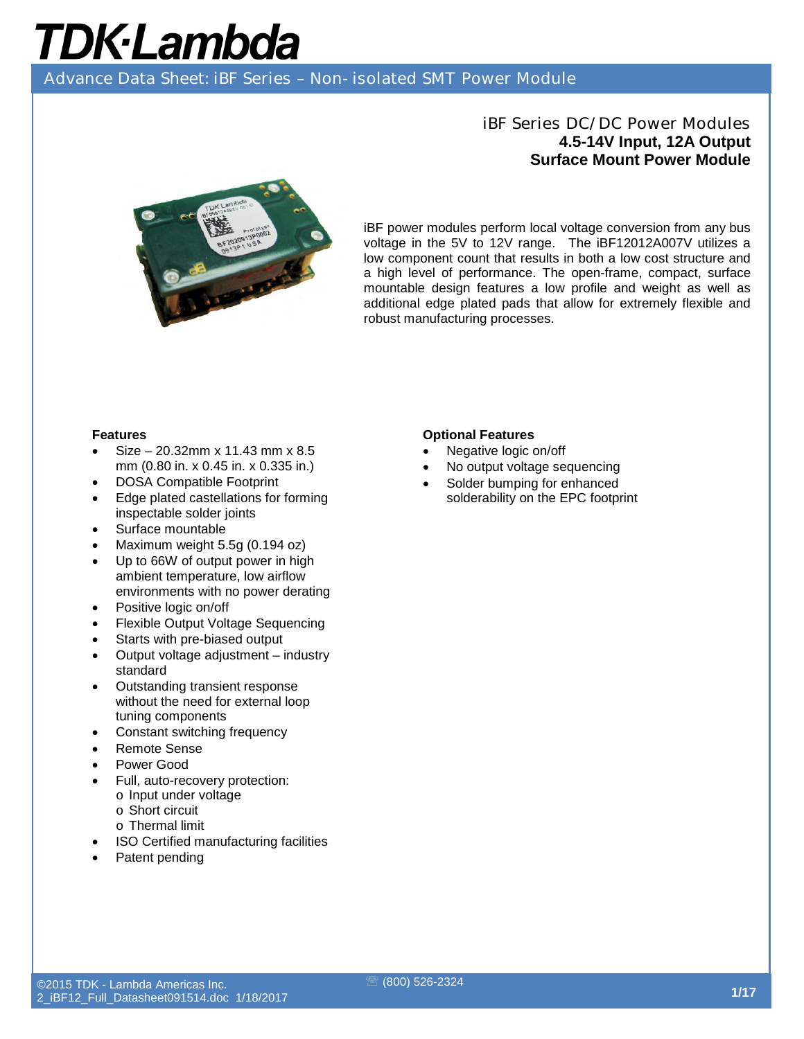Advance Data Sheet: iBF Series – Non-isolated SMT Power Module

#### iBF Series DC/DC Power Modules **4.5-14V Input, 12A Output Surface Mount Power Module**

iBF power modules perform local voltage conversion from any bus voltage in the 5V to 12V range. The iBF12012A007V utilizes a low component count that results in both a low cost structure and a high level of performance. The open-frame, compact, surface mountable design features a low profile and weight as well as additional edge plated pads that allow for extremely flexible and robust manufacturing processes.

#### **Features**

- Size 20.32mm x 11.43 mm x 8.5 mm (0.80 in. x 0.45 in. x 0.335 in.)
- DOSA Compatible Footprint
- Edge plated castellations for forming inspectable solder joints
- Surface mountable
- Maximum weight 5.5g (0.194 oz)
- Up to 66W of output power in high ambient temperature, low airflow environments with no power derating
- Positive logic on/off
- Flexible Output Voltage Sequencing
- Starts with pre-biased output
- Output voltage adjustment industry standard
- Outstanding transient response without the need for external loop tuning components
- Constant switching frequency
- Remote Sense
- Power Good
- Full, auto-recovery protection:
	- o Input under voltage
	- o Short circuit
	- o Thermal limit
- ISO Certified manufacturing facilities
- Patent pending

#### **Optional Features**

- Negative logic on/off
- No output voltage sequencing
- Solder bumping for enhanced solderability on the EPC footprint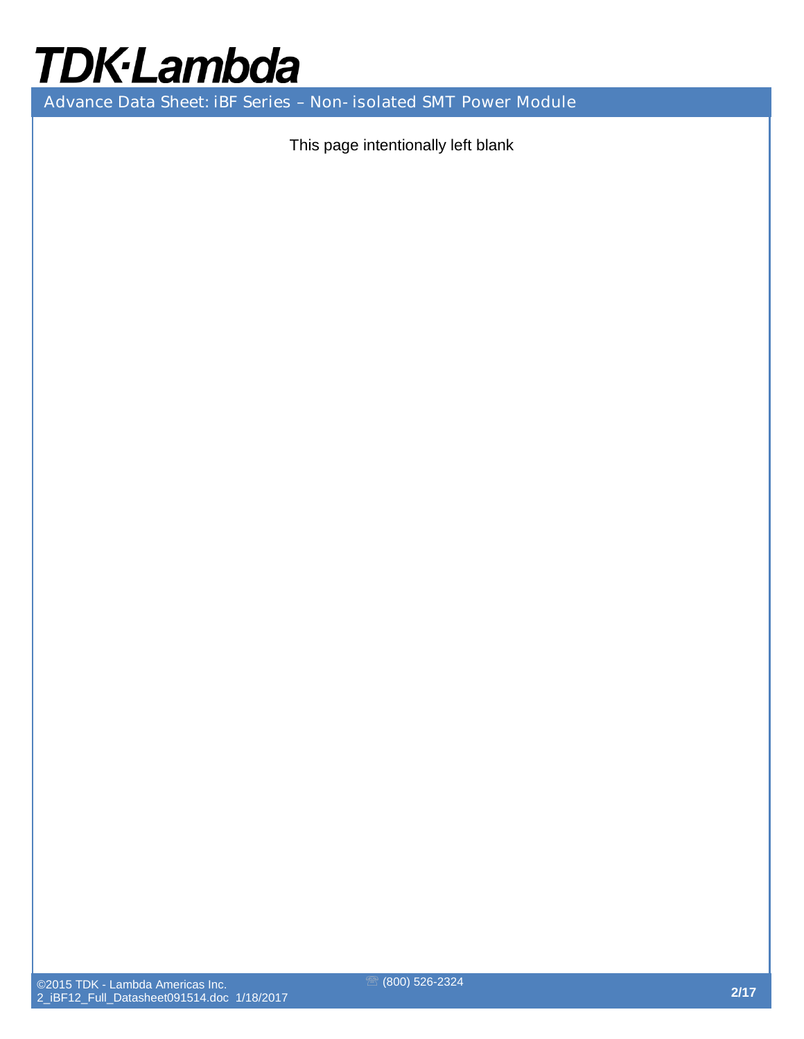Advance Data Sheet: iBF Series – Non-isolated SMT Power Module

This page intentionally left blank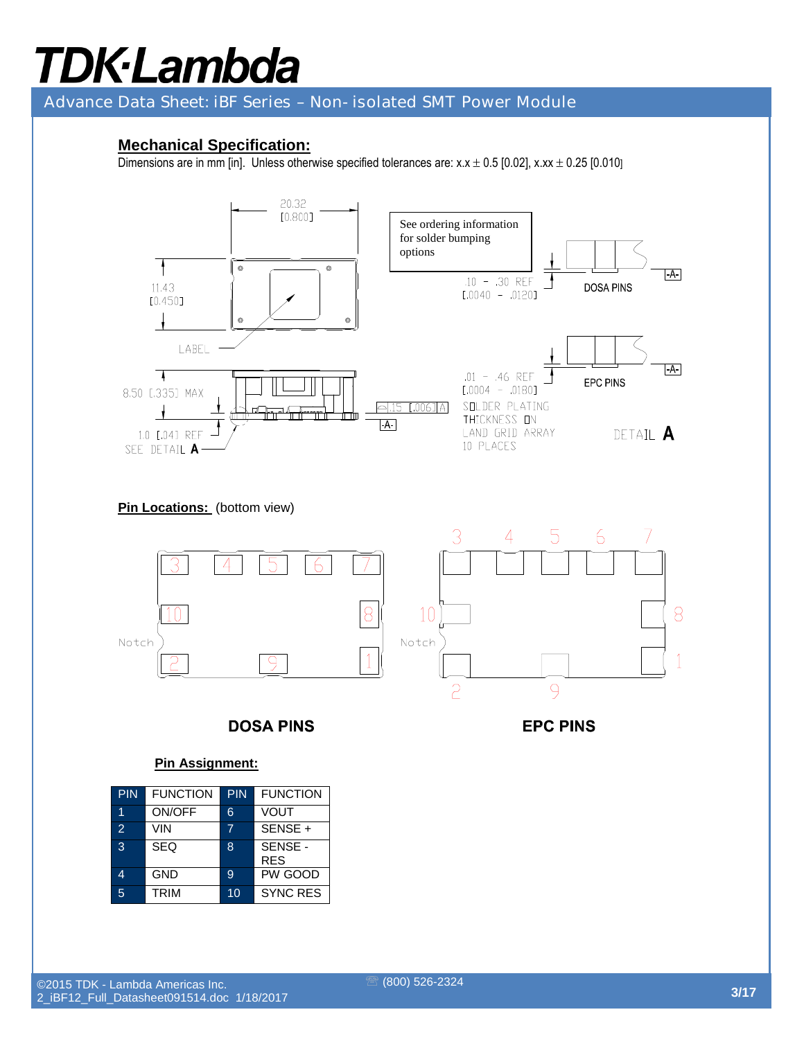Advance Data Sheet: iBF Series – Non-isolated SMT Power Module

### **Mechanical Specification:**

Dimensions are in mm [in]. Unless otherwise specified tolerances are:  $x.x \pm 0.5$  [0.02],  $x.x \pm 0.25$  [0.010]



**Pin Locations:** (bottom view)



**EPC PINS** 

### **DOSA PINS**

#### **Pin Assignment:**

| <b>PIN</b> | <b>FUNCTION</b> | <b>PIN</b> | <b>FUNCTION</b>       |
|------------|-----------------|------------|-----------------------|
|            | ON/OFF          | 6          | <b>VOUT</b>           |
| 2          | <b>VIN</b>      |            | SENSE +               |
| 3          | <b>SEQ</b>      | 8          | SENSE -<br><b>RES</b> |
| 4.         | <b>GND</b>      | 9          | PW GOOD               |
| 5          | <b>TRIM</b>     | 10         | <b>SYNC RES</b>       |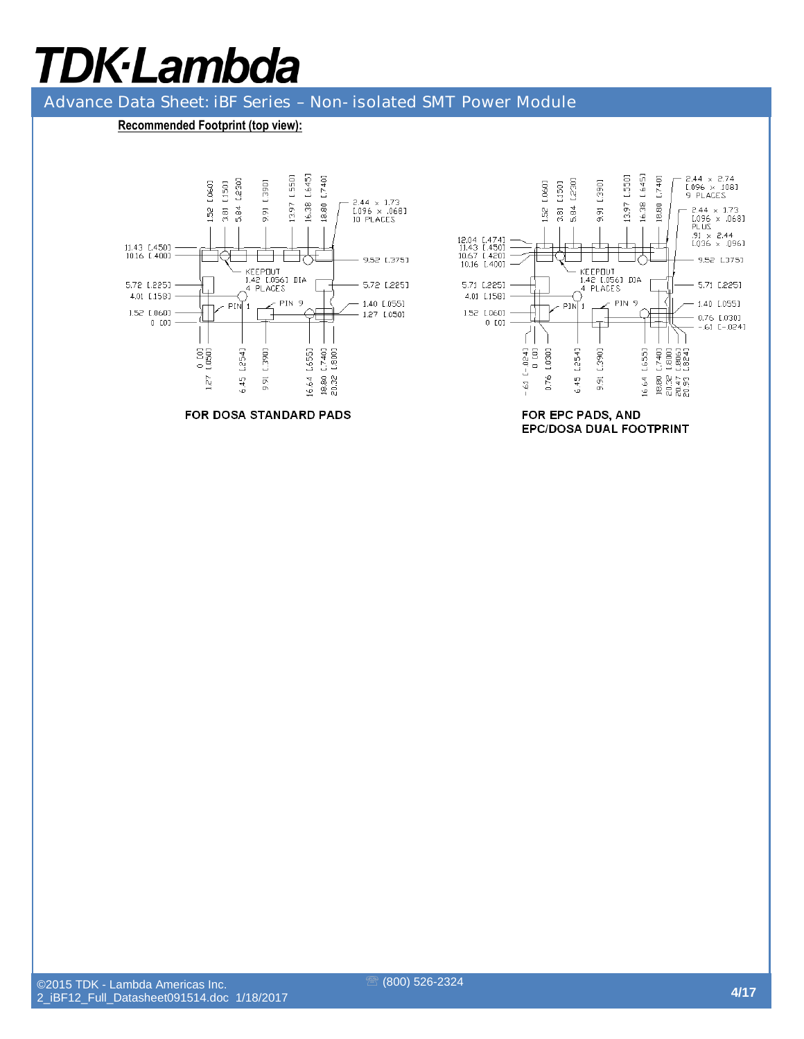Advance Data Sheet: iBF Series – Non-isolated SMT Power Module

#### **Recommended Footprint (top view):**







FOR EPC PADS, AND **EPC/DOSA DUAL FOOTPRINT**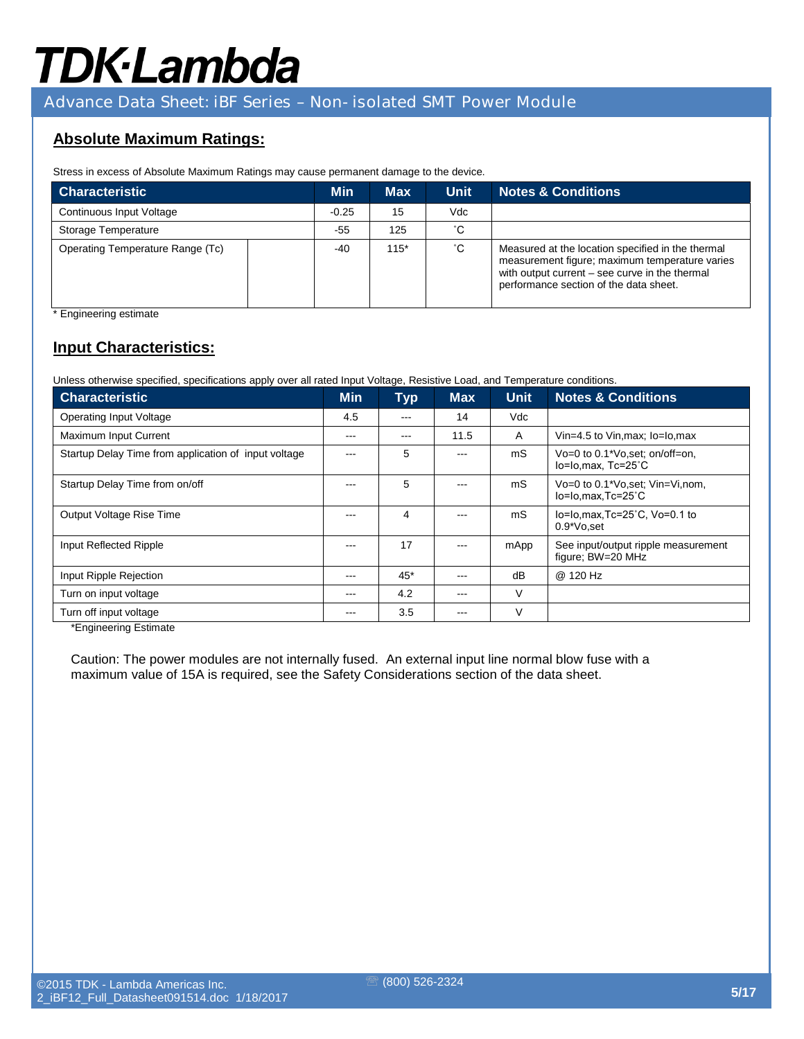Advance Data Sheet: iBF Series – Non-isolated SMT Power Module

### **Absolute Maximum Ratings:**

Stress in excess of Absolute Maximum Ratings may cause permanent damage to the device.

| <b>Characteristic</b>            | <b>Min</b> | <b>Max</b> | <b>Unit</b> | <b>Notes &amp; Conditions</b>                                                                                                                                                                   |
|----------------------------------|------------|------------|-------------|-------------------------------------------------------------------------------------------------------------------------------------------------------------------------------------------------|
| Continuous Input Voltage         | $-0.25$    | 15         | Vdc         |                                                                                                                                                                                                 |
| Storage Temperature              | -55        | 125        | °С          |                                                                                                                                                                                                 |
| Operating Temperature Range (Tc) | $-40$      | $115*$     | °С          | Measured at the location specified in the thermal<br>measurement figure; maximum temperature varies<br>with output current - see curve in the thermal<br>performance section of the data sheet. |

\* Engineering estimate

### **Input Characteristics:**

Unless otherwise specified, specifications apply over all rated Input Voltage, Resistive Load, and Temperature conditions.

| <b>Characteristic</b>                                | <b>Min</b> | <b>Typ</b> | <b>Max</b> | <b>Unit</b> | <b>Notes &amp; Conditions</b>                                       |
|------------------------------------------------------|------------|------------|------------|-------------|---------------------------------------------------------------------|
| <b>Operating Input Voltage</b>                       | 4.5        | ---        | 14         | Vdc         |                                                                     |
| Maximum Input Current                                | $---$      | ---        | 11.5       | A           | Vin=4.5 to Vin, max; lo=lo, max                                     |
| Startup Delay Time from application of input voltage |            | 5          | ---        | mS          | Vo=0 to 0.1*Vo, set; on/off=on,<br>lo=lo,max, Tc=25°C               |
| Startup Delay Time from on/off                       |            | 5          |            | mS          | Vo=0 to 0.1*Vo.set; Vin=Vi,nom,<br>$Io = Io, max, Tc = 25^{\circ}C$ |
| <b>Output Voltage Rise Time</b>                      |            | 4          |            | mS          | $lo = Io, max, Tc = 25^{\circ}C, Vo = 0.1$ to<br>$0.9*$ Vo.set      |
| Input Reflected Ripple                               |            | 17         |            | mApp        | See input/output ripple measurement<br>figure; BW=20 MHz            |
| Input Ripple Rejection                               | ---        | $45*$      |            | dB          | @ 120 Hz                                                            |
| Turn on input voltage                                | ---        | 4.2        |            | V           |                                                                     |
| Turn off input voltage                               | ---        | 3.5        | ---        | V           |                                                                     |

\*Engineering Estimate

Caution: The power modules are not internally fused. An external input line normal blow fuse with a maximum value of 15A is required, see the Safety Considerations section of the data sheet.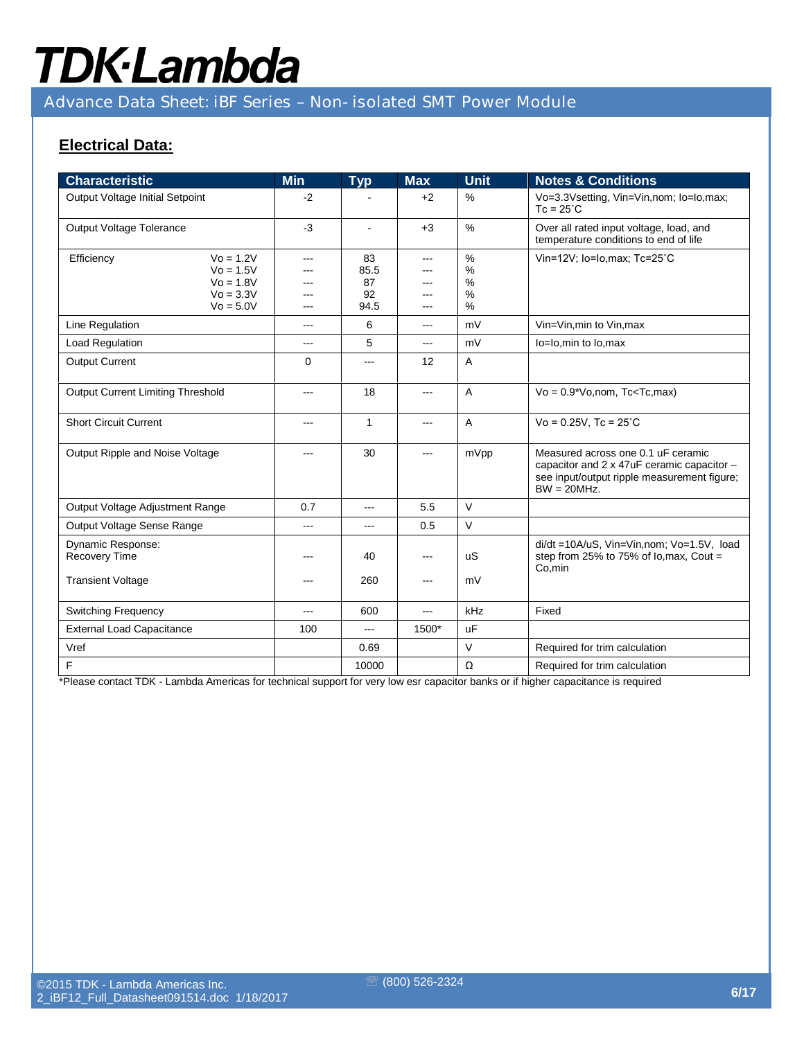Advance Data Sheet: iBF Series – Non-isolated SMT Power Module

### **Electrical Data:**

| <b>Characteristic</b>                                                                 | <b>Min</b>                          | <b>Typ</b>                     | <b>Max</b>                                   | <b>Unit</b>                             | <b>Notes &amp; Conditions</b>                                                                                                                     |
|---------------------------------------------------------------------------------------|-------------------------------------|--------------------------------|----------------------------------------------|-----------------------------------------|---------------------------------------------------------------------------------------------------------------------------------------------------|
| Output Voltage Initial Setpoint                                                       | $-2$                                |                                | $+2$                                         | $\%$                                    | Vo=3.3Vsetting, Vin=Vin, nom; lo=lo, max;<br>$Tc = 25^{\circ}C$                                                                                   |
| <b>Output Voltage Tolerance</b>                                                       | $-3$                                | $\blacksquare$                 | $+3$                                         | $\%$                                    | Over all rated input voltage, load, and<br>temperature conditions to end of life                                                                  |
| $Vo = 1.2V$<br>Efficiency<br>$Vo = 1.5V$<br>$Vo = 1.8V$<br>$Vo = 3.3V$<br>$Vo = 5.0V$ | $\overline{a}$<br>---<br>---<br>--- | 83<br>85.5<br>87<br>92<br>94.5 | $\overline{a}$<br>---<br>---<br>---<br>$---$ | $\frac{0}{0}$<br>$\%$<br>%<br>%<br>$\%$ | Vin=12V; lo=lo,max; Tc=25°C                                                                                                                       |
| Line Regulation                                                                       | ---                                 | 6                              | $---$                                        | mV                                      | Vin=Vin, min to Vin, max                                                                                                                          |
| Load Regulation                                                                       | ---                                 | 5                              | $\overline{a}$                               | mV                                      | lo=lo, min to lo, max                                                                                                                             |
| <b>Output Current</b>                                                                 | 0                                   | $\overline{a}$                 | 12                                           | $\overline{A}$                          |                                                                                                                                                   |
| <b>Output Current Limiting Threshold</b>                                              | ---                                 | 18                             | ---                                          | $\overline{A}$                          | $Vo = 0.9*Vo$ , nom, Tc <tc, max)<="" td=""></tc,>                                                                                                |
| <b>Short Circuit Current</b>                                                          | $\overline{a}$                      | 1                              | $---$                                        | $\overline{A}$                          | $Vo = 0.25V$ , Tc = $25^{\circ}C$                                                                                                                 |
| Output Ripple and Noise Voltage                                                       | $\overline{a}$                      | 30                             | $\overline{a}$                               | mVpp                                    | Measured across one 0.1 uF ceramic<br>capacitor and 2 x 47uF ceramic capacitor -<br>see input/output ripple measurement figure;<br>$BW = 20MHz$ . |
| Output Voltage Adjustment Range                                                       | 0.7                                 | $\overline{a}$                 | 5.5                                          | $\vee$                                  |                                                                                                                                                   |
| Output Voltage Sense Range                                                            | ---                                 | $\overline{a}$                 | 0.5                                          | $\vee$                                  |                                                                                                                                                   |
| Dynamic Response:<br><b>Recovery Time</b>                                             | ---                                 | 40                             | $---$                                        | uS                                      | di/dt =10A/uS, Vin=Vin, nom; Vo=1.5V, load<br>step from 25% to 75% of $Io, max$ , Cout =<br>Co,min                                                |
| <b>Transient Voltage</b>                                                              | ---                                 | 260                            | ---                                          | mV                                      |                                                                                                                                                   |
| <b>Switching Frequency</b>                                                            | ---                                 | 600                            | $\overline{a}$                               | kHz                                     | Fixed                                                                                                                                             |
| <b>External Load Capacitance</b>                                                      | 100                                 | $---$                          | 1500*                                        | <b>uF</b>                               |                                                                                                                                                   |
| Vref                                                                                  |                                     | 0.69                           |                                              | V                                       | Required for trim calculation                                                                                                                     |
| F                                                                                     |                                     | 10000                          |                                              | Ω                                       | Required for trim calculation                                                                                                                     |

\*Please contact TDK - Lambda Americas for technical support for very low esr capacitor banks or if higher capacitance is required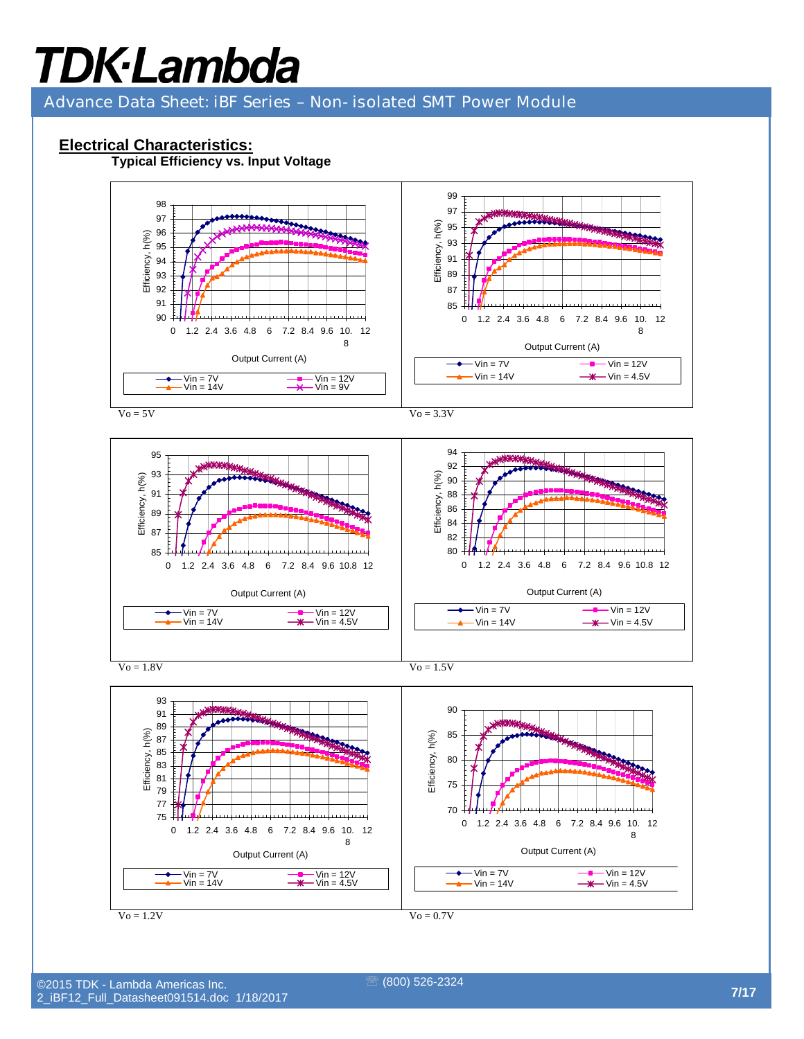Advance Data Sheet: iBF Series – Non-isolated SMT Power Module

### **Electrical Characteristics:**

**Typical Efficiency vs. Input Voltage** 



℡ (800) 526-2324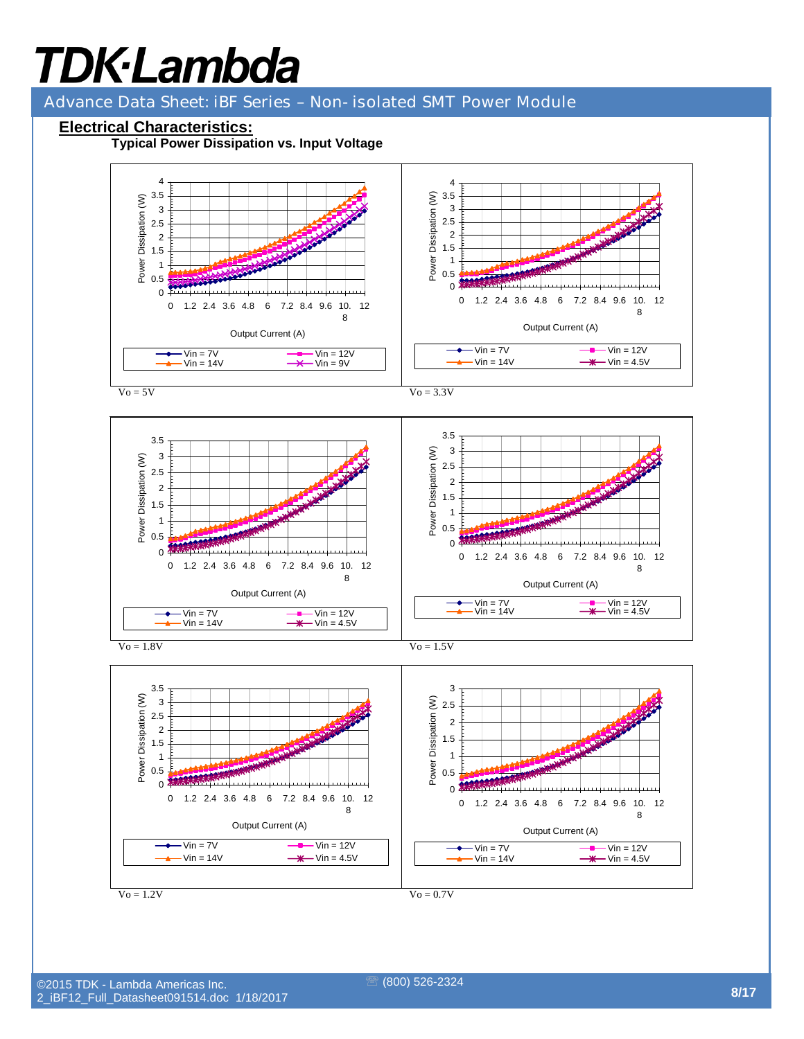Advance Data Sheet: iBF Series – Non-isolated SMT Power Module

### **Electrical Characteristics:**

**Typical Power Dissipation vs. Input Voltage** 

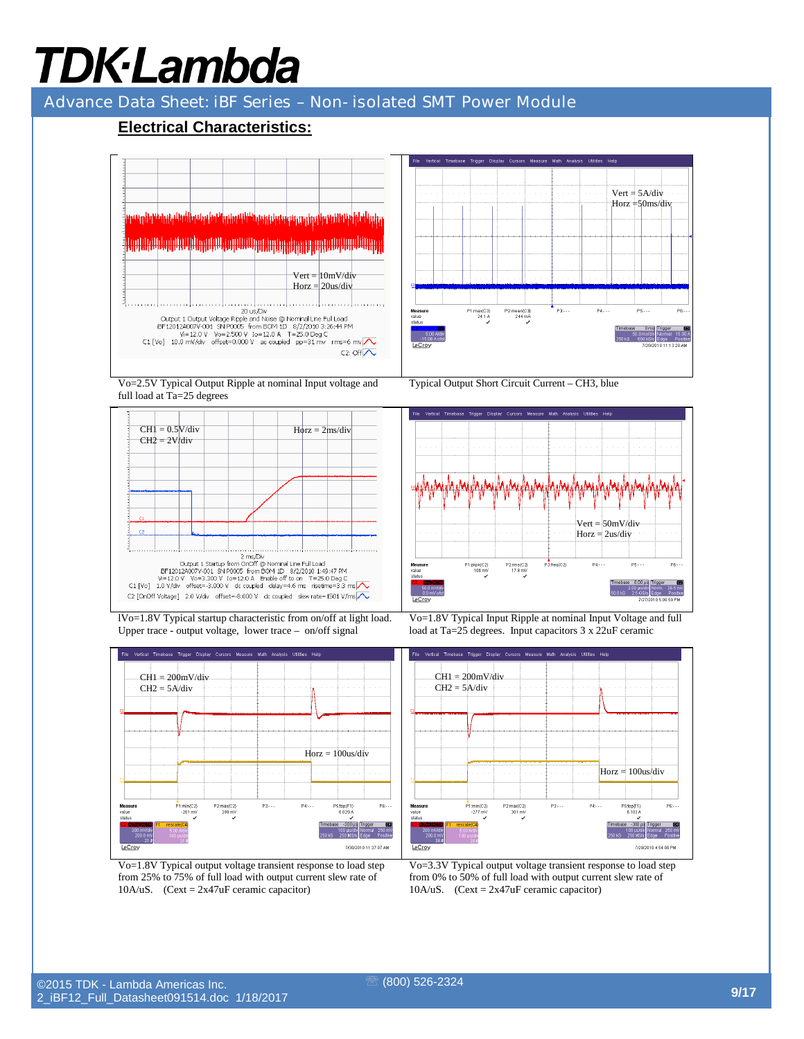#### Advance Data Sheet: iBF Series – Non-isolated SMT Power Module

#### **Electrical Characteristics:**



Vo=2.5V Typical Output Ripple at nominal Input voltage and full load at Ta=25 degrees



lVo=1.8V Typical startup characteristic from on/off at light load. Upper trace - output voltage, lower trace – on/off signal



Vo=1.8V Typical output voltage transient response to load step from 25% to 75% of full load with output current slew rate of 10A/uS.  $(Cext = 2x47uF$  ceramic capacitor)

Typical Output Short Circuit Current – CH3, blue



Vo=1.8V Typical Input Ripple at nominal Input Voltage and full load at Ta=25 degrees. Input capacitors 3 x 22uF ceramic



Vo=3.3V Typical output voltage transient response to load step from 0% to 50% of full load with output current slew rate of 10A/uS.  $(Cext = 2x47uF$  ceramic capacitor)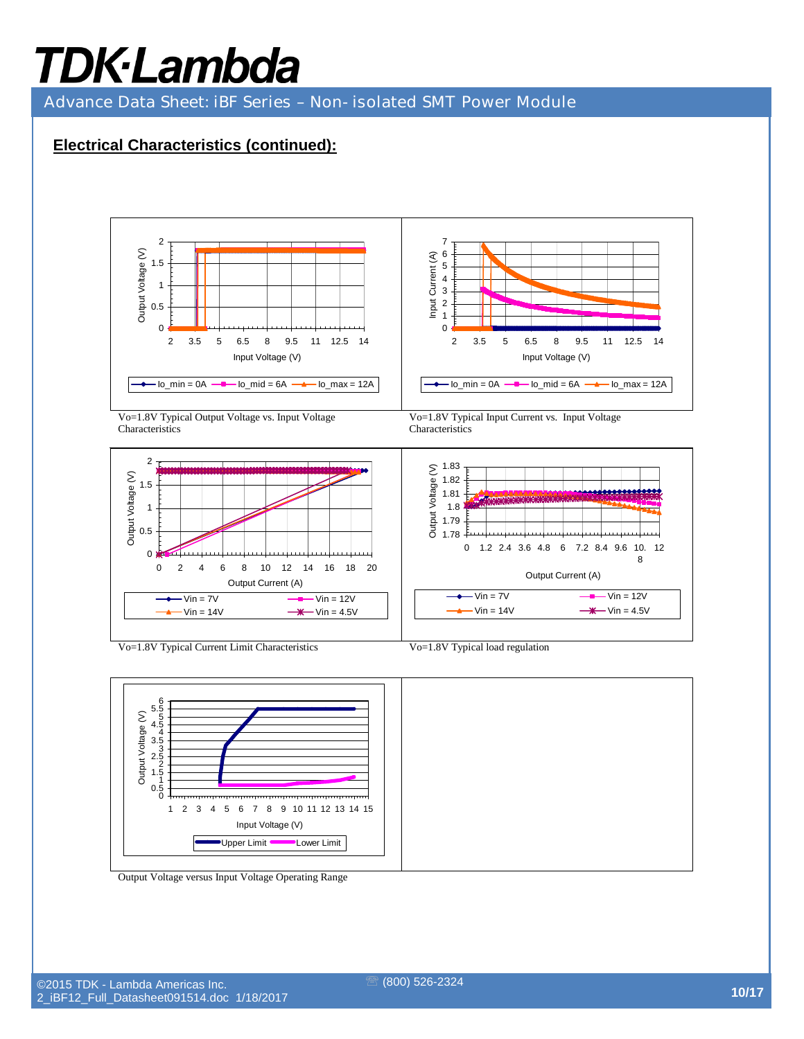Advance Data Sheet: iBF Series – Non-isolated SMT Power Module

### **Electrical Characteristics (continued):**



Vo=1.8V Typical Output Voltage vs. Input Voltage Characteristics











Output Voltage versus Input Voltage Operating Range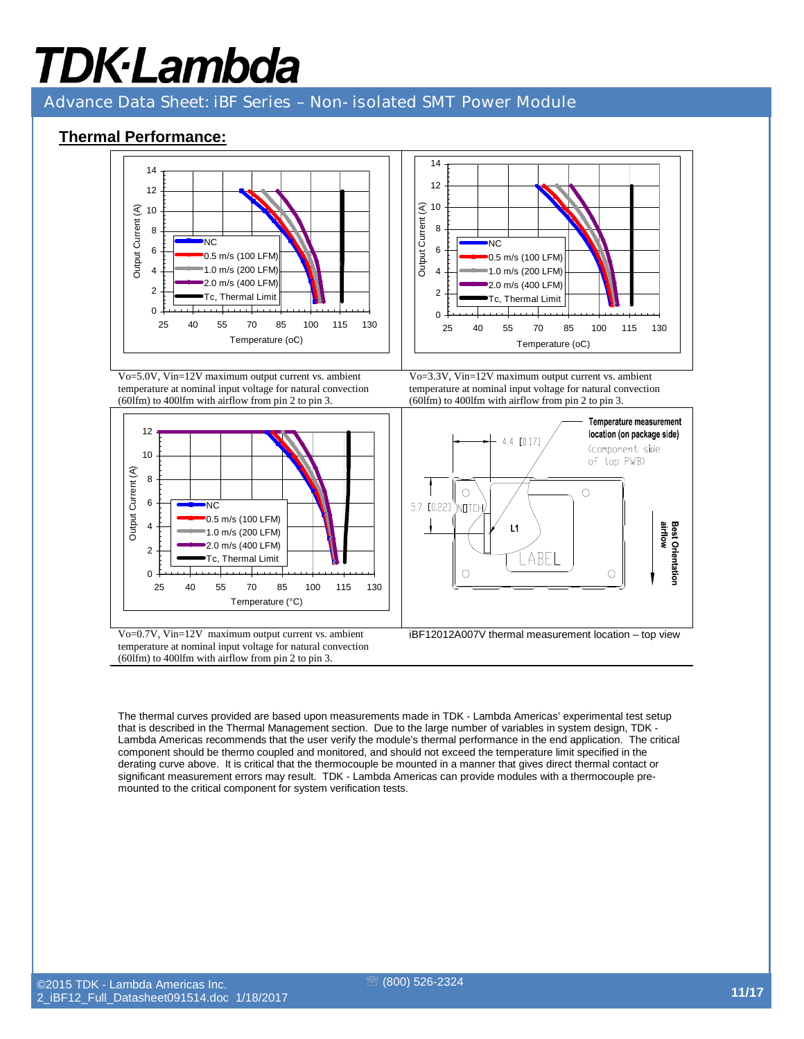Advance Data Sheet: iBF Series – Non-isolated SMT Power Module

### **Thermal Performance:**



Vo=5.0V, Vin=12V maximum output current vs. ambient temperature at nominal input voltage for natural convection (60lfm) to 400lfm with airflow from pin 2 to pin 3.



Vo=0.7V, Vin=12V maximum output current vs. ambient temperature at nominal input voltage for natural convection (60lfm) to 400lfm with airflow from pin 2 to pin 3.



Vo=3.3V, Vin=12V maximum output current vs. ambient temperature at nominal input voltage for natural convection (60lfm) to 400lfm with airflow from pin 2 to pin 3.



The thermal curves provided are based upon measurements made in TDK - Lambda Americas' experimental test setup that is described in the Thermal Management section. Due to the large number of variables in system design, TDK - Lambda Americas recommends that the user verify the module's thermal performance in the end application. The critical component should be thermo coupled and monitored, and should not exceed the temperature limit specified in the derating curve above. It is critical that the thermocouple be mounted in a manner that gives direct thermal contact or significant measurement errors may result. TDK - Lambda Americas can provide modules with a thermocouple premounted to the critical component for system verification tests.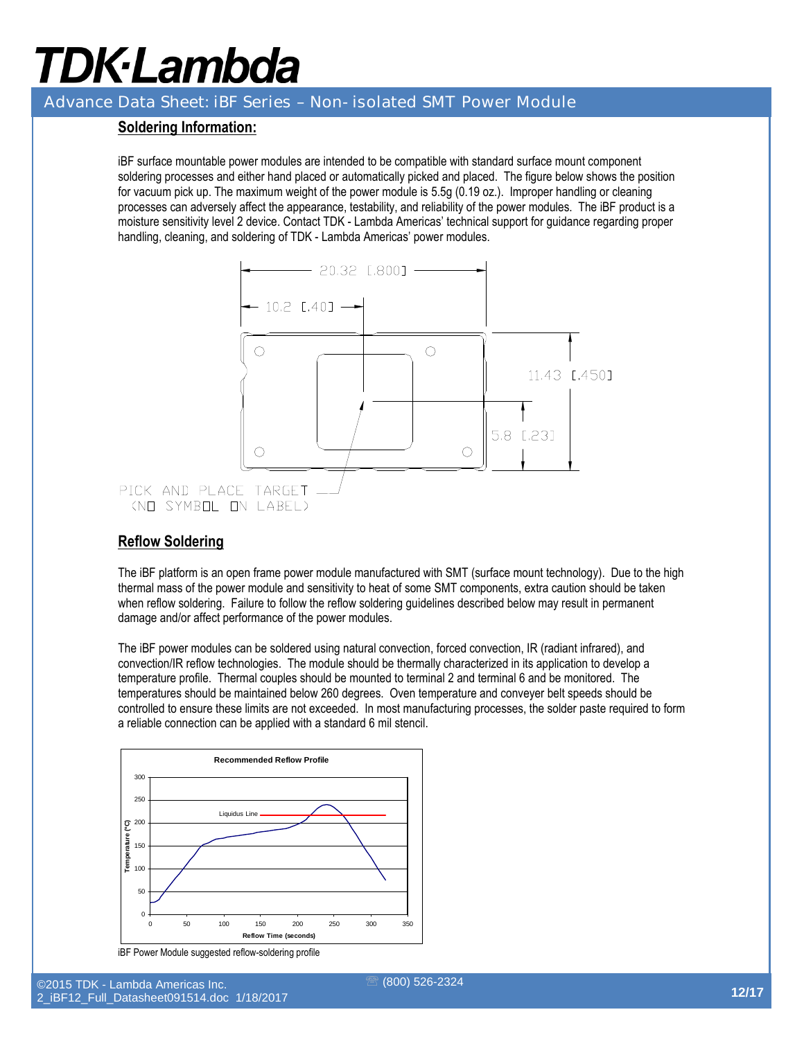#### Advance Data Sheet: iBF Series – Non-isolated SMT Power Module

#### **Soldering Information:**

iBF surface mountable power modules are intended to be compatible with standard surface mount component soldering processes and either hand placed or automatically picked and placed. The figure below shows the position for vacuum pick up. The maximum weight of the power module is 5.5g (0.19 oz.). Improper handling or cleaning processes can adversely affect the appearance, testability, and reliability of the power modules. The iBF product is a moisture sensitivity level 2 device. Contact TDK - Lambda Americas' technical support for guidance regarding proper handling, cleaning, and soldering of TDK - Lambda Americas' power modules.



#### **Reflow Soldering**

The iBF platform is an open frame power module manufactured with SMT (surface mount technology). Due to the high thermal mass of the power module and sensitivity to heat of some SMT components, extra caution should be taken when reflow soldering. Failure to follow the reflow soldering guidelines described below may result in permanent damage and/or affect performance of the power modules.

The iBF power modules can be soldered using natural convection, forced convection, IR (radiant infrared), and convection/IR reflow technologies. The module should be thermally characterized in its application to develop a temperature profile. Thermal couples should be mounted to terminal 2 and terminal 6 and be monitored. The temperatures should be maintained below 260 degrees. Oven temperature and conveyer belt speeds should be controlled to ensure these limits are not exceeded. In most manufacturing processes, the solder paste required to form a reliable connection can be applied with a standard 6 mil stencil.



iBF Power Module suggested reflow-soldering profile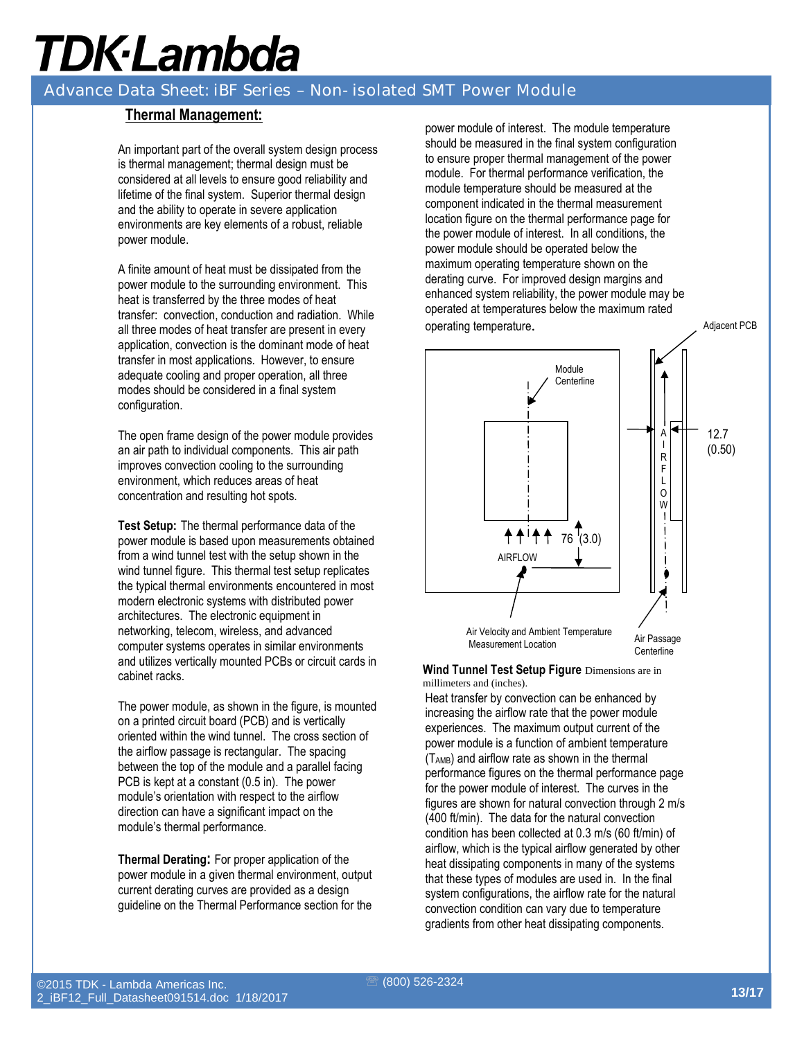### Advance Data Sheet: iBF Series – Non-isolated SMT Power Module

#### **Thermal Management:**

An important part of the overall system design process is thermal management; thermal design must be considered at all levels to ensure good reliability and lifetime of the final system. Superior thermal design and the ability to operate in severe application environments are key elements of a robust, reliable power module.

A finite amount of heat must be dissipated from the power module to the surrounding environment. This heat is transferred by the three modes of heat transfer: convection, conduction and radiation. While all three modes of heat transfer are present in every application, convection is the dominant mode of heat transfer in most applications. However, to ensure adequate cooling and proper operation, all three modes should be considered in a final system configuration.

The open frame design of the power module provides an air path to individual components. This air path improves convection cooling to the surrounding environment, which reduces areas of heat concentration and resulting hot spots.

**Test Setup:** The thermal performance data of the power module is based upon measurements obtained from a wind tunnel test with the setup shown in the wind tunnel figure. This thermal test setup replicates the typical thermal environments encountered in most modern electronic systems with distributed power architectures. The electronic equipment in networking, telecom, wireless, and advanced computer systems operates in similar environments and utilizes vertically mounted PCBs or circuit cards in cabinet racks.

The power module, as shown in the figure, is mounted on a printed circuit board (PCB) and is vertically oriented within the wind tunnel. The cross section of the airflow passage is rectangular. The spacing between the top of the module and a parallel facing PCB is kept at a constant (0.5 in). The power module's orientation with respect to the airflow direction can have a significant impact on the module's thermal performance.

**Thermal Derating:** For proper application of the power module in a given thermal environment, output current derating curves are provided as a design guideline on the Thermal Performance section for the

power module of interest. The module temperature should be measured in the final system configuration to ensure proper thermal management of the power module. For thermal performance verification, the module temperature should be measured at the component indicated in the thermal measurement location figure on the thermal performance page for the power module of interest. In all conditions, the power module should be operated below the maximum operating temperature shown on the derating curve. For improved design margins and enhanced system reliability, the power module may be operated at temperatures below the maximum rated operating temperature.



**Wind Tunnel Test Setup Figure** Dimensions are in millimeters and (inches).

Heat transfer by convection can be enhanced by increasing the airflow rate that the power module experiences. The maximum output current of the power module is a function of ambient temperature (TAMB) and airflow rate as shown in the thermal performance figures on the thermal performance page for the power module of interest. The curves in the figures are shown for natural convection through 2 m/s (400 ft/min). The data for the natural convection condition has been collected at 0.3 m/s (60 ft/min) of airflow, which is the typical airflow generated by other heat dissipating components in many of the systems that these types of modules are used in. In the final system configurations, the airflow rate for the natural convection condition can vary due to temperature gradients from other heat dissipating components.

Adjacent PCB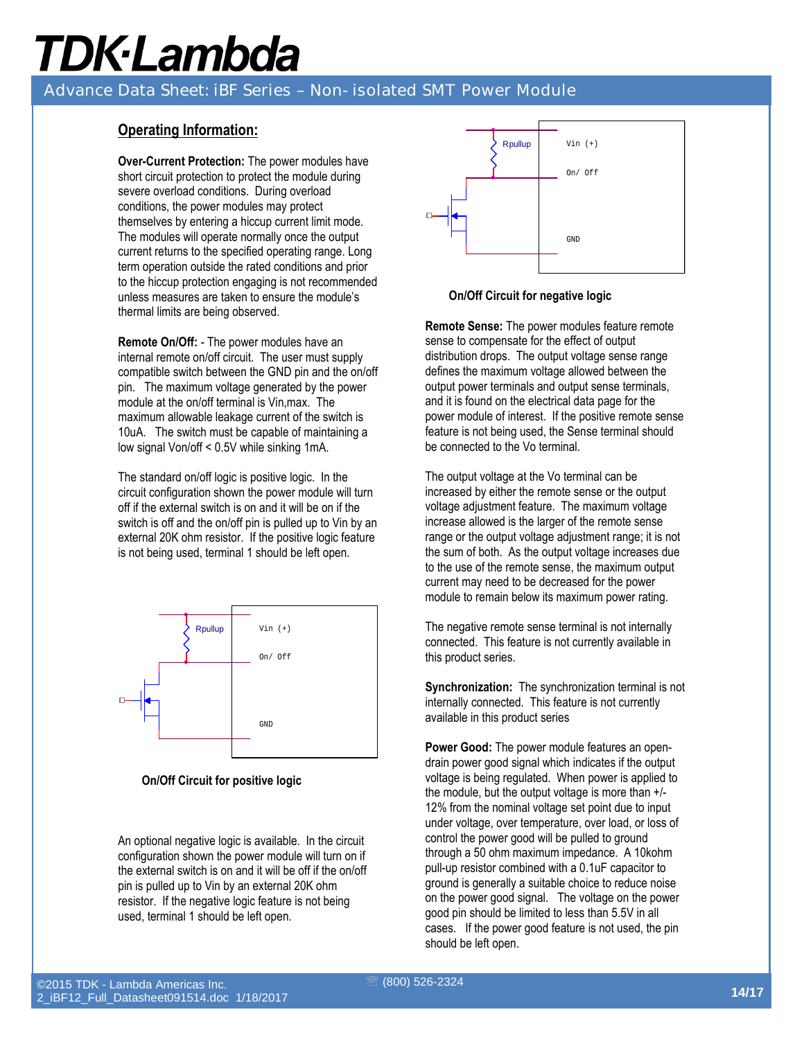### Advance Data Sheet: iBF Series – Non-isolated SMT Power Module

#### **Operating Information:**

**Over-Current Protection:** The power modules have short circuit protection to protect the module during severe overload conditions. During overload conditions, the power modules may protect themselves by entering a hiccup current limit mode. The modules will operate normally once the output current returns to the specified operating range. Long term operation outside the rated conditions and prior to the hiccup protection engaging is not recommended unless measures are taken to ensure the module's thermal limits are being observed.

**Remote On/Off:** - The power modules have an internal remote on/off circuit. The user must supply compatible switch between the GND pin and the on/off pin. The maximum voltage generated by the power module at the on/off terminal is Vin,max. The maximum allowable leakage current of the switch is 10uA. The switch must be capable of maintaining a low signal Von/off < 0.5V while sinking 1mA.

The standard on/off logic is positive logic. In the circuit configuration shown the power module will turn off if the external switch is on and it will be on if the switch is off and the on/off pin is pulled up to Vin by an external 20K ohm resistor. If the positive logic feature is not being used, terminal 1 should be left open.



**On/Off Circuit for positive logic**

An optional negative logic is available. In the circuit configuration shown the power module will turn on if the external switch is on and it will be off if the on/off pin is pulled up to Vin by an external 20K ohm resistor. If the negative logic feature is not being used, terminal 1 should be left open.



#### **On/Off Circuit for negative logic**

**Remote Sense:** The power modules feature remote sense to compensate for the effect of output distribution drops. The output voltage sense range defines the maximum voltage allowed between the output power terminals and output sense terminals, and it is found on the electrical data page for the power module of interest. If the positive remote sense feature is not being used, the Sense terminal should be connected to the Vo terminal.

The output voltage at the Vo terminal can be increased by either the remote sense or the output voltage adjustment feature. The maximum voltage increase allowed is the larger of the remote sense range or the output voltage adjustment range; it is not the sum of both. As the output voltage increases due to the use of the remote sense, the maximum output current may need to be decreased for the power module to remain below its maximum power rating.

The negative remote sense terminal is not internally connected. This feature is not currently available in this product series.

**Synchronization:** The synchronization terminal is not internally connected. This feature is not currently available in this product series

**Power Good:** The power module features an opendrain power good signal which indicates if the output voltage is being regulated. When power is applied to the module, but the output voltage is more than +/- 12% from the nominal voltage set point due to input under voltage, over temperature, over load, or loss of control the power good will be pulled to ground through a 50 ohm maximum impedance. A 10kohm pull-up resistor combined with a 0.1uF capacitor to ground is generally a suitable choice to reduce noise on the power good signal. The voltage on the power good pin should be limited to less than 5.5V in all cases. If the power good feature is not used, the pin should be left open.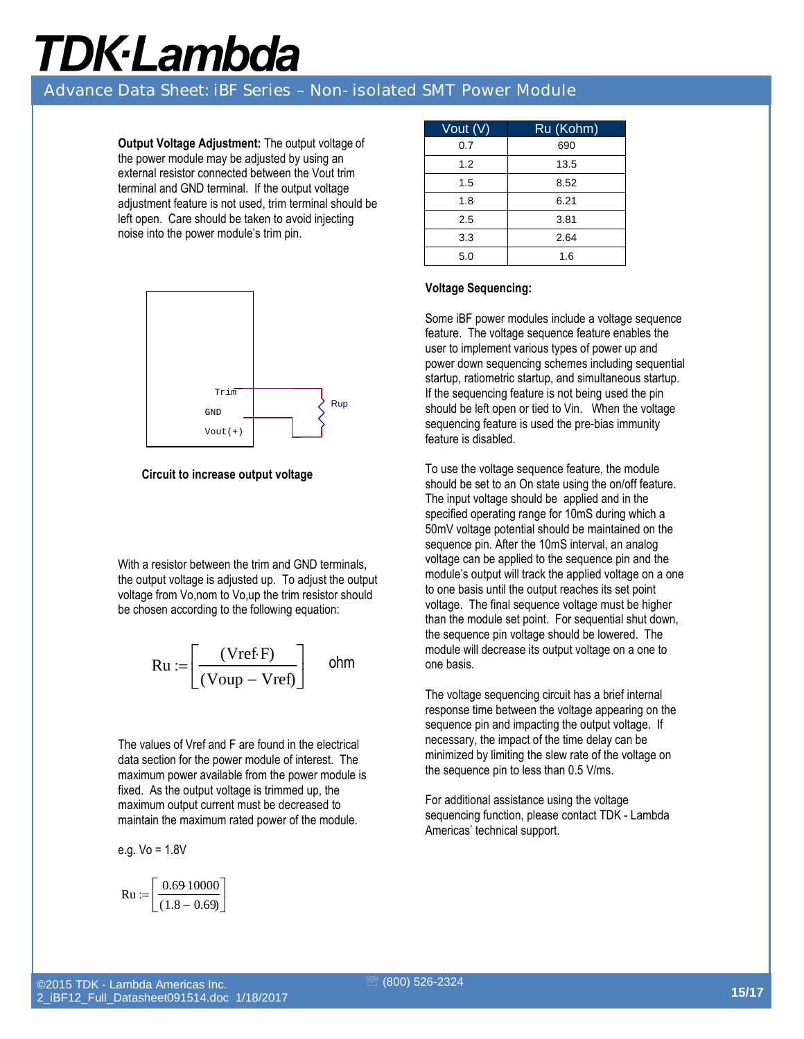### Advance Data Sheet: iBF Series – Non-isolated SMT Power Module

**Output Voltage Adjustment:** The output voltage of the power module may be adjusted by using an external resistor connected between the Vout trim terminal and GND terminal. If the output voltage adjustment feature is not used, trim terminal should be left open. Care should be taken to avoid injecting noise into the power module's trim pin.



**Circuit to increase output voltage** 

With a resistor between the trim and GND terminals, the output voltage is adjusted up. To adjust the output voltage from Vo,nom to Vo,up the trim resistor should be chosen according to the following equation:

$$
Ru := \begin{bmatrix} (Vref \cdot F) \\ (Voup - Vref) \end{bmatrix} \quad \text{ohm}
$$

The values of Vref and F are found in the electrical data section for the power module of interest. The maximum power available from the power module is fixed. As the output voltage is trimmed up, the maximum output current must be decreased to maintain the maximum rated power of the module.

e.g. 
$$
V_0 = 1.8V
$$

$$
Ru := \left[\frac{0.69\,10000}{(1.8 - 0.69)}\right]
$$

| Vout $(V)$ | Ru (Kohm) |  |  |  |
|------------|-----------|--|--|--|
| 0.7        | 690       |  |  |  |
| 1.2        | 13.5      |  |  |  |
| 1.5        | 8.52      |  |  |  |
| 1.8        | 6.21      |  |  |  |
| 2.5        | 3.81      |  |  |  |
| 3.3        | 2.64      |  |  |  |
| 5.0        | 1.6       |  |  |  |

#### **Voltage Sequencing:**

Some iBF power modules include a voltage sequence feature. The voltage sequence feature enables the user to implement various types of power up and power down sequencing schemes including sequential startup, ratiometric startup, and simultaneous startup. If the sequencing feature is not being used the pin should be left open or tied to Vin. When the voltage sequencing feature is used the pre-bias immunity feature is disabled.

To use the voltage sequence feature, the module should be set to an On state using the on/off feature. The input voltage should be applied and in the specified operating range for 10mS during which a 50mV voltage potential should be maintained on the sequence pin. After the 10mS interval, an analog voltage can be applied to the sequence pin and the module's output will track the applied voltage on a one to one basis until the output reaches its set point voltage. The final sequence voltage must be higher than the module set point. For sequential shut down, the sequence pin voltage should be lowered. The module will decrease its output voltage on a one to one basis.

The voltage sequencing circuit has a brief internal response time between the voltage appearing on the sequence pin and impacting the output voltage. If necessary, the impact of the time delay can be minimized by limiting the slew rate of the voltage on the sequence pin to less than 0.5 V/ms.

For additional assistance using the voltage sequencing function, please contact TDK - Lambda Americas' technical support.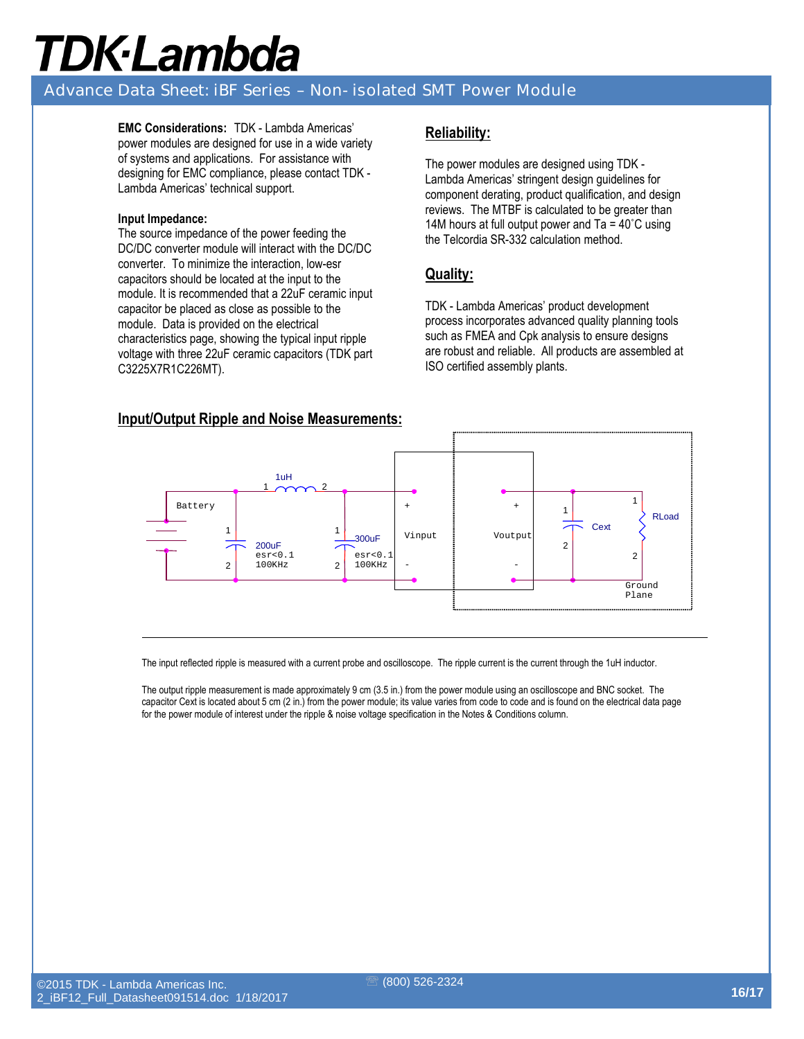### Advance Data Sheet: iBF Series – Non-isolated SMT Power Module

**EMC Considerations:** TDK - Lambda Americas' power modules are designed for use in a wide variety of systems and applications. For assistance with designing for EMC compliance, please contact TDK - Lambda Americas' technical support.

#### **Input Impedance:**

The source impedance of the power feeding the DC/DC converter module will interact with the DC/DC converter. To minimize the interaction, low-esr capacitors should be located at the input to the module. It is recommended that a 22uF ceramic input capacitor be placed as close as possible to the module. Data is provided on the electrical characteristics page, showing the typical input ripple voltage with three 22uF ceramic capacitors (TDK part C3225X7R1C226MT).

**Input/Output Ripple and Noise Measurements:** 

#### **Reliability:**

The power modules are designed using TDK - Lambda Americas' stringent design guidelines for component derating, product qualification, and design reviews. The MTBF is calculated to be greater than 14M hours at full output power and  $Ta = 40^{\circ}C$  using the Telcordia SR-332 calculation method.

#### **Quality:**

TDK - Lambda Americas' product development process incorporates advanced quality planning tools such as FMEA and Cpk analysis to ensure designs are robust and reliable. All products are assembled at ISO certified assembly plants.

#### 100KHz 2 - Voutput **Cext** 1  $\overline{2}$ + 1uH  $1 \sim 2$ esr<0.1 Battery 100KHz + RLoad 1 esr<0.1 esr<0.1 | esr<0.1 | 2 - Vinput  $200uF$ <br>esr<0.1 1 2 Ground Plane 300uF 1

The input reflected ripple is measured with a current probe and oscilloscope. The ripple current is the current through the 1uH inductor.

The output ripple measurement is made approximately 9 cm (3.5 in.) from the power module using an oscilloscope and BNC socket. The capacitor Cext is located about 5 cm (2 in.) from the power module; its value varies from code to code and is found on the electrical data page for the power module of interest under the ripple & noise voltage specification in the Notes & Conditions column.